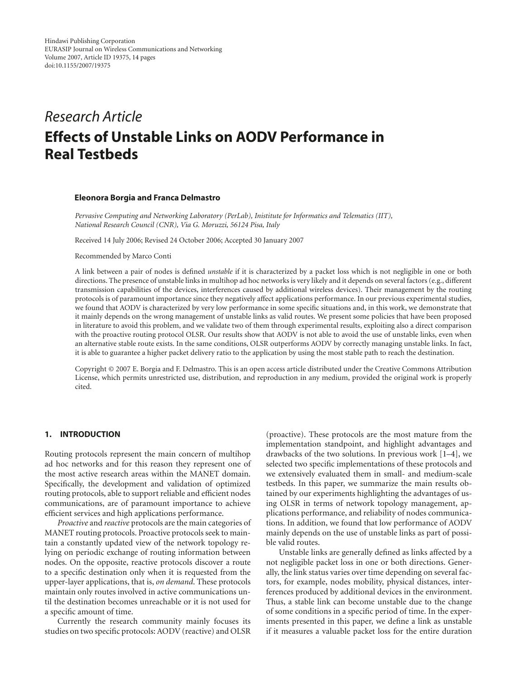# *Research Article* **Effects of Unstable Links on AODV Performance in Real Testbeds**

#### **Eleonora Borgia and Franca Delmastro**

*Pervasive Computing and Networking Laboratory (PerLab), Inistitute for Informatics and Telematics (IIT), National Research Council (CNR), Via G. Moruzzi, 56124 Pisa, Italy*

Received 14 July 2006; Revised 24 October 2006; Accepted 30 January 2007

Recommended by Marco Conti

A link between a pair of nodes is defined *unstable* if it is characterized by a packet loss which is not negligible in one or both directions. The presence of unstable links in multihop ad hoc networks is very likely and it depends on several factors (e.g., different transmission capabilities of the devices, interferences caused by additional wireless devices). Their management by the routing protocols is of paramount importance since they negatively affect applications performance. In our previous experimental studies, we found that AODV is characterized by very low performance in some specific situations and, in this work, we demonstrate that it mainly depends on the wrong management of unstable links as valid routes. We present some policies that have been proposed in literature to avoid this problem, and we validate two of them through experimental results, exploiting also a direct comparison with the proactive routing protocol OLSR. Our results show that AODV is not able to avoid the use of unstable links, even when an alternative stable route exists. In the same conditions, OLSR outperforms AODV by correctly managing unstable links. In fact, it is able to guarantee a higher packet delivery ratio to the application by using the most stable path to reach the destination.

Copyright © 2007 E. Borgia and F. Delmastro. This is an open access article distributed under the Creative Commons Attribution License, which permits unrestricted use, distribution, and reproduction in any medium, provided the original work is properly cited.

## **1. INTRODUCTION**

Routing protocols represent the main concern of multihop ad hoc networks and for this reason they represent one of the most active research areas within the MANET domain. Specifically, the development and validation of optimized routing protocols, able to support reliable and efficient nodes communications, are of paramount importance to achieve efficient services and high applications performance.

*Proactive* and *reactive* protocols are the main categories of MANET routing protocols. Proactive protocols seek to maintain a constantly updated view of the network topology relying on periodic exchange of routing information between nodes. On the opposite, reactive protocols discover a route to a specific destination only when it is requested from the upper-layer applications, that is, *on demand*. These protocols maintain only routes involved in active communications until the destination becomes unreachable or it is not used for a specific amount of time.

Currently the research community mainly focuses its studies on two specific protocols: AODV (reactive) and OLSR

(proactive). These protocols are the most mature from the implementation standpoint, and highlight advantages and drawbacks of the two solutions. In previous work [1–4], we selected two specific implementations of these protocols and we extensively evaluated them in small- and medium-scale testbeds. In this paper, we summarize the main results obtained by our experiments highlighting the advantages of using OLSR in terms of network topology management, applications performance, and reliability of nodes communications. In addition, we found that low performance of AODV mainly depends on the use of unstable links as part of possible valid routes.

Unstable links are generally defined as links affected by a not negligible packet loss in one or both directions. Generally, the link status varies over time depending on several factors, for example, nodes mobility, physical distances, interferences produced by additional devices in the environment. Thus, a stable link can become unstable due to the change of some conditions in a specific period of time. In the experiments presented in this paper, we define a link as unstable if it measures a valuable packet loss for the entire duration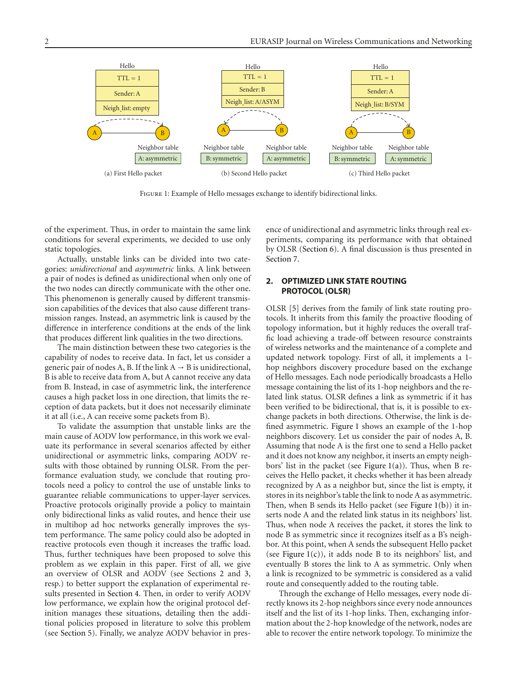

Figure 1: Example of Hello messages exchange to identify bidirectional links.

of the experiment. Thus, in order to maintain the same link conditions for several experiments, we decided to use only static topologies.

Actually, unstable links can be divided into two categories: *unidirectional* and *asymmetric* links. A link between a pair of nodes is defined as unidirectional when only one of the two nodes can directly communicate with the other one. This phenomenon is generally caused by different transmission capabilities of the devices that also cause different transmission ranges. Instead, an asymmetric link is caused by the difference in interference conditions at the ends of the link that produces different link qualities in the two directions.

The main distinction between these two categories is the capability of nodes to receive data. In fact, let us consider a generic pair of nodes A, B. If the link  $A \rightarrow B$  is unidirectional, B is able to receive data from A, but A cannot receive any data from B. Instead, in case of asymmetric link, the interference causes a high packet loss in one direction, that limits the reception of data packets, but it does not necessarily eliminate it at all (i.e., A can receive some packets from B).

To validate the assumption that unstable links are the main cause of AODV low performance, in this work we evaluate its performance in several scenarios affected by either unidirectional or asymmetric links, comparing AODV results with those obtained by running OLSR. From the performance evaluation study, we conclude that routing protocols need a policy to control the use of unstable links to guarantee reliable communications to upper-layer services. Proactive protocols originally provide a policy to maintain only bidirectional links as valid routes, and hence their use in multihop ad hoc networks generally improves the system performance. The same policy could also be adopted in reactive protocols even though it increases the traffic load. Thus, further techniques have been proposed to solve this problem as we explain in this paper. First of all, we give an overview of OLSR and AODV (see Sections 2 and 3, resp.) to better support the explanation of experimental results presented in Section 4. Then, in order to verify AODV low performance, we explain how the original protocol definition manages these situations, detailing then the additional policies proposed in literature to solve this problem (see Section 5). Finally, we analyze AODV behavior in presence of unidirectional and asymmetric links through real experiments, comparing its performance with that obtained by OLSR (Section 6). A final discussion is thus presented in Section 7.

## **2. OPTIMIZED LINK STATE ROUTING PROTOCOL (OLSR)**

OLSR [5] derives from the family of link state routing protocols. It inherits from this family the proactive flooding of topology information, but it highly reduces the overall traffic load achieving a trade-off between resource constraints of wireless networks and the maintenance of a complete and updated network topology. First of all, it implements a 1 hop neighbors discovery procedure based on the exchange of Hello messages. Each node periodically broadcasts a Hello message containing the list of its 1-hop neighbors and the related link status. OLSR defines a link as symmetric if it has been verified to be bidirectional, that is, it is possible to exchange packets in both directions. Otherwise, the link is defined asymmetric. Figure 1 shows an example of the 1-hop neighbors discovery. Let us consider the pair of nodes A, B. Assuming that node A is the first one to send a Hello packet and it does not know any neighbor, it inserts an empty neighbors' list in the packet (see Figure  $1(a)$ ). Thus, when B receives the Hello packet, it checks whether it has been already recognized by A as a neighbor but, since the list is empty, it stores in its neighbor's table the link to node A as asymmetric. Then, when B sends its Hello packet (see Figure 1(b)) it inserts node A and the related link status in its neighbors' list. Thus, when node A receives the packet, it stores the link to node B as symmetric since it recognizes itself as a B's neighbor. At this point, when A sends the subsequent Hello packet (see Figure 1(c)), it adds node B to its neighbors' list, and eventually B stores the link to A as symmetric. Only when a link is recognized to be symmetric is considered as a valid route and consequently added to the routing table.

Through the exchange of Hello messages, every node directly knows its 2-hop neighbors since every node announces itself and the list of its 1-hop links. Then, exchanging information about the 2-hop knowledge of the network, nodes are able to recover the entire network topology. To minimize the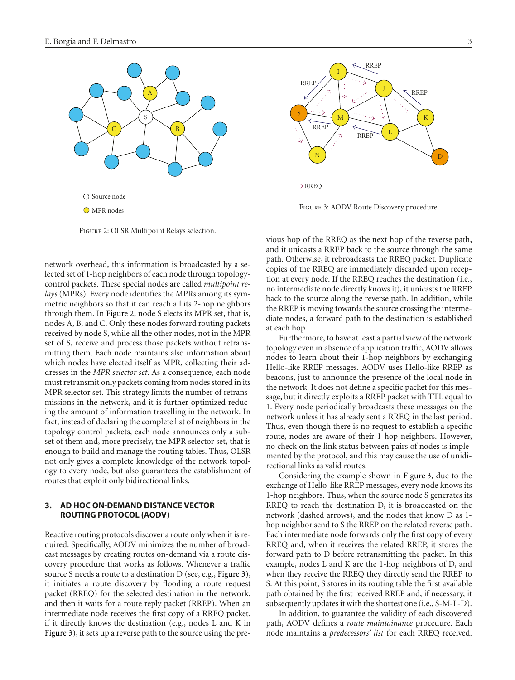

Figure 2: OLSR Multipoint Relays selection.

network overhead, this information is broadcasted by a selected set of 1-hop neighbors of each node through topologycontrol packets. These special nodes are called *multipoint relays* (MPRs). Every node identifies the MPRs among its symmetric neighbors so that it can reach all its 2-hop neighbors through them. In Figure 2, node S elects its MPR set, that is, nodes A, B, and C. Only these nodes forward routing packets received by node S, while all the other nodes, not in the MPR set of S, receive and process those packets without retransmitting them. Each node maintains also information about which nodes have elected itself as MPR, collecting their addresses in the *MPR selector set*. As a consequence, each node must retransmit only packets coming from nodes stored in its MPR selector set. This strategy limits the number of retransmissions in the network, and it is further optimized reducing the amount of information travelling in the network. In fact, instead of declaring the complete list of neighbors in the topology control packets, each node announces only a subset of them and, more precisely, the MPR selector set, that is enough to build and manage the routing tables. Thus, OLSR not only gives a complete knowledge of the network topology to every node, but also guarantees the establishment of routes that exploit only bidirectional links.

# **3. AD HOC ON-DEMAND DISTANCE VECTOR ROUTING PROTOCOL (AODV)**

Reactive routing protocols discover a route only when it is required. Specifically, AODV minimizes the number of broadcast messages by creating routes on-demand via a route discovery procedure that works as follows. Whenever a traffic source S needs a route to a destination D (see, e.g., Figure 3), it initiates a route discovery by flooding a route request packet (RREQ) for the selected destination in the network, and then it waits for a route reply packet (RREP). When an intermediate node receives the first copy of a RREQ packet, if it directly knows the destination (e.g., nodes L and K in Figure 3), it sets up a reverse path to the source using the pre-



Figure 3: AODV Route Discovery procedure.

vious hop of the RREQ as the next hop of the reverse path, and it unicasts a RREP back to the source through the same path. Otherwise, it rebroadcasts the RREQ packet. Duplicate copies of the RREQ are immediately discarded upon reception at every node. If the RREQ reaches the destination (i.e., no intermediate node directly knows it), it unicasts the RREP back to the source along the reverse path. In addition, while the RREP is moving towards the source crossing the intermediate nodes, a forward path to the destination is established at each hop.

Furthermore, to have at least a partial view of the network topology even in absence of application traffic, AODV allows nodes to learn about their 1-hop neighbors by exchanging Hello-like RREP messages. AODV uses Hello-like RREP as beacons, just to announce the presence of the local node in the network. It does not define a specific packet for this message, but it directly exploits a RREP packet with TTL equal to 1. Every node periodically broadcasts these messages on the network unless it has already sent a RREQ in the last period. Thus, even though there is no request to establish a specific route, nodes are aware of their 1-hop neighbors. However, no check on the link status between pairs of nodes is implemented by the protocol, and this may cause the use of unidirectional links as valid routes.

Considering the example shown in Figure 3, due to the exchange of Hello-like RREP messages, every node knows its 1-hop neighbors. Thus, when the source node S generates its RREQ to reach the destination D, it is broadcasted on the network (dashed arrows), and the nodes that know D as 1 hop neighbor send to S the RREP on the related reverse path. Each intermediate node forwards only the first copy of every RREQ and, when it receives the related RREP, it stores the forward path to D before retransmitting the packet. In this example, nodes L and K are the 1-hop neighbors of D, and when they receive the RREQ they directly send the RREP to S. At this point, S stores in its routing table the first available path obtained by the first received RREP and, if necessary, it subsequently updates it with the shortest one (i.e., S-M-L-D).

In addition, to guarantee the validity of each discovered path, AODV defines a *route maintainance* procedure. Each node maintains a *predecessors' list* for each RREQ received.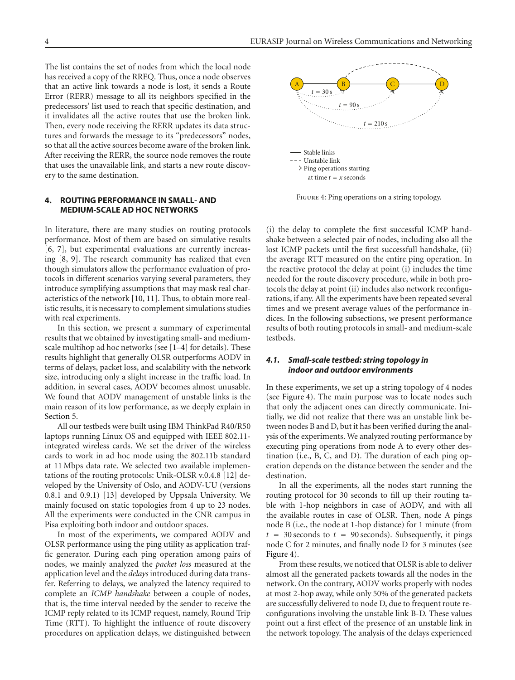The list contains the set of nodes from which the local node has received a copy of the RREQ. Thus, once a node observes that an active link towards a node is lost, it sends a Route Error (RERR) message to all its neighbors specified in the predecessors' list used to reach that specific destination, and it invalidates all the active routes that use the broken link. Then, every node receiving the RERR updates its data structures and forwards the message to its "predecessors" nodes, so that all the active sources become aware of the broken link. After receiving the RERR, the source node removes the route that uses the unavailable link, and starts a new route discovery to the same destination.

## **4. ROUTING PERFORMANCE IN SMALL- AND MEDIUM-SCALE AD HOC NETWORKS**

In literature, there are many studies on routing protocols performance. Most of them are based on simulative results [6, 7], but experimental evaluations are currently increasing [8, 9]. The research community has realized that even though simulators allow the performance evaluation of protocols in different scenarios varying several parameters, they introduce symplifying assumptions that may mask real characteristics of the network [10, 11]. Thus, to obtain more realistic results, it is necessary to complement simulations studies with real experiments.

In this section, we present a summary of experimental results that we obtained by investigating small- and mediumscale multihop ad hoc networks (see [1–4] for details). These results highlight that generally OLSR outperforms AODV in terms of delays, packet loss, and scalability with the network size, introducing only a slight increase in the traffic load. In addition, in several cases, AODV becomes almost unusable. We found that AODV management of unstable links is the main reason of its low performance, as we deeply explain in Section 5.

All our testbeds were built using IBM ThinkPad R40/R50 laptops running Linux OS and equipped with IEEE 802.11 integrated wireless cards. We set the driver of the wireless cards to work in ad hoc mode using the 802.11b standard at 11 Mbps data rate. We selected two available implementations of the routing protocols: Unik-OLSR v.0.4.8 [12] developed by the University of Oslo, and AODV-UU (versions 0.8.1 and 0.9.1) [13] developed by Uppsala University. We mainly focused on static topologies from 4 up to 23 nodes. All the experiments were conducted in the CNR campus in Pisa exploiting both indoor and outdoor spaces.

In most of the experiments, we compared AODV and OLSR performance using the ping utility as application traffic generator. During each ping operation among pairs of nodes, we mainly analyzed the *packet loss* measured at the application level and the *delays* introduced during data transfer. Referring to delays, we analyzed the latency required to complete an *ICMP handshake* between a couple of nodes, that is, the time interval needed by the sender to receive the ICMP reply related to its ICMP request, namely, Round Trip Time (RTT). To highlight the influence of route discovery procedures on application delays, we distinguished between



FIGURE 4: Ping operations on a string topology.

(i) the delay to complete the first successful ICMP handshake between a selected pair of nodes, including also all the lost ICMP packets until the first successfull handshake, (ii) the average RTT measured on the entire ping operation. In the reactive protocol the delay at point (i) includes the time needed for the route discovery procedure, while in both protocols the delay at point (ii) includes also network reconfigurations, if any. All the experiments have been repeated several times and we present average values of the performance indices. In the following subsections, we present performance results of both routing protocols in small- and medium-scale testbeds.

# *4.1. Small-scale testbed: string topology in indoor and outdoor environments*

In these experiments, we set up a string topology of 4 nodes (see Figure 4). The main purpose was to locate nodes such that only the adjacent ones can directly communicate. Initially, we did not realize that there was an unstable link between nodes B and D, but it has been verified during the analysis of the experiments. We analyzed routing performance by executing ping operations from node A to every other destination (i.e., B, C, and D). The duration of each ping operation depends on the distance between the sender and the destination.

In all the experiments, all the nodes start running the routing protocol for 30 seconds to fill up their routing table with 1-hop neighbors in case of AODV, and with all the available routes in case of OLSR. Then, node A pings node B (i.e., the node at 1-hop distance) for 1 minute (from  $t = 30$  seconds to  $t = 90$  seconds). Subsequently, it pings node C for 2 minutes, and finally node D for 3 minutes (see Figure 4).

From these results, we noticed that OLSR is able to deliver almost all the generated packets towards all the nodes in the network. On the contrary, AODV works properly with nodes at most 2-hop away, while only 50% of the generated packets are successfully delivered to node D, due to frequent route reconfigurations involving the unstable link B-D. These values point out a first effect of the presence of an unstable link in the network topology. The analysis of the delays experienced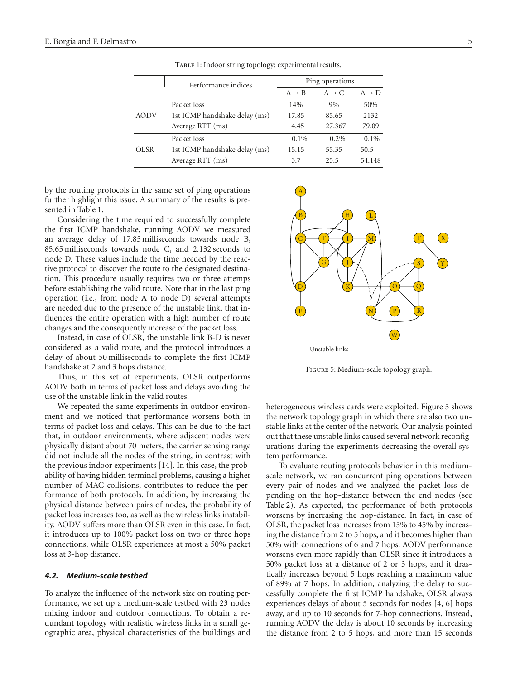|             | Performance indices           | Ping operations   |                   |                   |
|-------------|-------------------------------|-------------------|-------------------|-------------------|
|             |                               | $A \rightarrow B$ | $A \rightarrow C$ | $A \rightarrow D$ |
| <b>AODV</b> | Packet loss                   | 14%               | 9%                | 50%               |
|             | 1st ICMP handshake delay (ms) | 17.85             | 85.65             | 2132              |
|             | Average RTT (ms)              | 4.45              | 27.367            | 79.09             |
| <b>OLSR</b> | Packet loss                   | $0.1\%$           | $0.2\%$           | $0.1\%$           |
|             | 1st ICMP handshake delay (ms) | 15.15             | 55.35             | 50.5              |
|             | Average RTT (ms)              | 3.7               | 25.5              | 54.148            |

TABLE 1: Indoor string topology: experimental results.

by the routing protocols in the same set of ping operations further highlight this issue. A summary of the results is presented in Table 1.

Considering the time required to successfully complete the first ICMP handshake, running AODV we measured an average delay of 17.85 milliseconds towards node B, 85.65 milliseconds towards node C, and 2.132 seconds to node D. These values include the time needed by the reactive protocol to discover the route to the designated destination. This procedure usually requires two or three attemps before establishing the valid route. Note that in the last ping operation (i.e., from node A to node D) several attempts are needed due to the presence of the unstable link, that influences the entire operation with a high number of route changes and the consequently increase of the packet loss.

Instead, in case of OLSR, the unstable link B-D is never considered as a valid route, and the protocol introduces a delay of about 50 milliseconds to complete the first ICMP handshake at 2 and 3 hops distance.

Thus, in this set of experiments, OLSR outperforms AODV both in terms of packet loss and delays avoiding the use of the unstable link in the valid routes.

We repeated the same experiments in outdoor environment and we noticed that performance worsens both in terms of packet loss and delays. This can be due to the fact that, in outdoor environments, where adjacent nodes were physically distant about 70 meters, the carrier sensing range did not include all the nodes of the string, in contrast with the previous indoor experiments [14]. In this case, the probability of having hidden terminal problems, causing a higher number of MAC collisions, contributes to reduce the performance of both protocols. In addition, by increasing the physical distance between pairs of nodes, the probability of packet loss increases too, as well as the wireless links instability. AODV suffers more than OLSR even in this case. In fact, it introduces up to 100% packet loss on two or three hops connections, while OLSR experiences at most a 50% packet loss at 3-hop distance.

## *4.2. Medium-scale testbed*

To analyze the influence of the network size on routing performance, we set up a medium-scale testbed with 23 nodes mixing indoor and outdoor connections. To obtain a redundant topology with realistic wireless links in a small geographic area, physical characteristics of the buildings and



Figure 5: Medium-scale topology graph.

heterogeneous wireless cards were exploited. Figure 5 shows the network topology graph in which there are also two unstable links at the center of the network. Our analysis pointed out that these unstable links caused several network reconfigurations during the experiments decreasing the overall system performance.

To evaluate routing protocols behavior in this mediumscale network, we ran concurrent ping operations between every pair of nodes and we analyzed the packet loss depending on the hop-distance between the end nodes (see Table 2). As expected, the performance of both protocols worsens by increasing the hop-distance. In fact, in case of OLSR, the packet loss increases from 15% to 45% by increasing the distance from 2 to 5 hops, and it becomes higher than 50% with connections of 6 and 7 hops. AODV performance worsens even more rapidly than OLSR since it introduces a 50% packet loss at a distance of 2 or 3 hops, and it drastically increases beyond 5 hops reaching a maximum value of 89% at 7 hops. In addition, analyzing the delay to successfully complete the first ICMP handshake, OLSR always experiences delays of about 5 seconds for nodes [4, 6] hops away, and up to 10 seconds for 7-hop connections. Instead, running AODV the delay is about 10 seconds by increasing the distance from 2 to 5 hops, and more than 15 seconds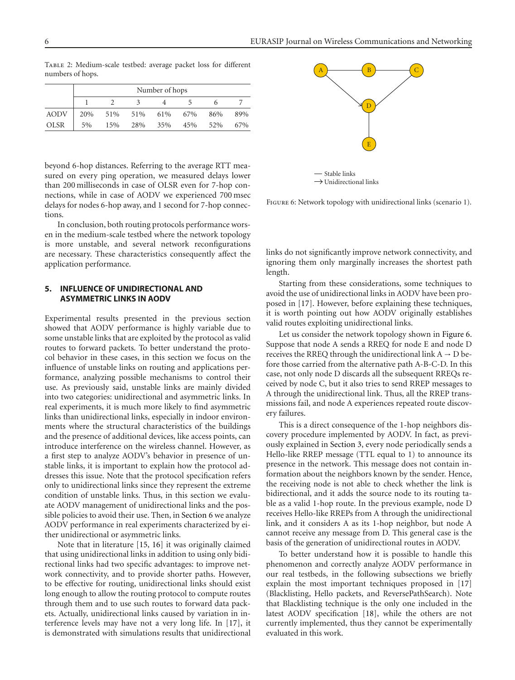|             | Number of hops |     |     |     |     |     |     |
|-------------|----------------|-----|-----|-----|-----|-----|-----|
|             |                |     |     |     |     |     |     |
| <b>AODV</b> | 20%            | 51% | 51% | 61% | 67% | 86% | 89% |
| <b>OLSR</b> | $5\%$          | 15% | 28% | 35% | 45% | 52% | 67% |

Table 2: Medium-scale testbed: average packet loss for different numbers of hops.

beyond 6-hop distances. Referring to the average RTT measured on every ping operation, we measured delays lower than 200 milliseconds in case of OLSR even for 7-hop connections, while in case of AODV we experienced 700 msec delays for nodes 6-hop away, and 1 second for 7-hop connections.

In conclusion, both routing protocols performance worsen in the medium-scale testbed where the network topology is more unstable, and several network reconfigurations are necessary. These characteristics consequently affect the application performance.

# **5. INFLUENCE OF UNIDIRECTIONAL AND ASYMMETRIC LINKS IN AODV**

Experimental results presented in the previous section showed that AODV performance is highly variable due to some unstable links that are exploited by the protocol as valid routes to forward packets. To better understand the protocol behavior in these cases, in this section we focus on the influence of unstable links on routing and applications performance, analyzing possible mechanisms to control their use. As previously said, unstable links are mainly divided into two categories: unidirectional and asymmetric links. In real experiments, it is much more likely to find asymmetric links than unidirectional links, especially in indoor environments where the structural characteristics of the buildings and the presence of additional devices, like access points, can introduce interference on the wireless channel. However, as a first step to analyze AODV's behavior in presence of unstable links, it is important to explain how the protocol addresses this issue. Note that the protocol specification refers only to unidirectional links since they represent the extreme condition of unstable links. Thus, in this section we evaluate AODV management of unidirectional links and the possible policies to avoid their use. Then, in Section 6 we analyze AODV performance in real experiments characterized by either unidirectional or asymmetric links.

Note that in literature [15, 16] it was originally claimed that using unidirectional links in addition to using only bidirectional links had two specific advantages: to improve network connectivity, and to provide shorter paths. However, to be effective for routing, unidirectional links should exist long enough to allow the routing protocol to compute routes through them and to use such routes to forward data packets. Actually, unidirectional links caused by variation in interference levels may have not a very long life. In [17], it is demonstrated with simulations results that unidirectional



FIGURE 6: Network topology with unidirectional links (scenario 1).

links do not significantly improve network connectivity, and ignoring them only marginally increases the shortest path length.

Starting from these considerations, some techniques to avoid the use of unidirectional links in AODV have been proposed in [17]. However, before explaining these techniques, it is worth pointing out how AODV originally establishes valid routes exploiting unidirectional links.

Let us consider the network topology shown in Figure 6. Suppose that node A sends a RREQ for node E and node D receives the RREQ through the unidirectional link  $A \rightarrow D$  before those carried from the alternative path A-B-C-D. In this case, not only node D discards all the subsequent RREQs received by node C, but it also tries to send RREP messages to A through the unidirectional link. Thus, all the RREP transmissions fail, and node A experiences repeated route discovery failures.

This is a direct consequence of the 1-hop neighbors discovery procedure implemented by AODV. In fact, as previously explained in Section 3, every node periodically sends a Hello-like RREP message (TTL equal to 1) to announce its presence in the network. This message does not contain information about the neighbors known by the sender. Hence, the receiving node is not able to check whether the link is bidirectional, and it adds the source node to its routing table as a valid 1-hop route. In the previous example, node D receives Hello-like RREPs from A through the unidirectional link, and it considers A as its 1-hop neighbor, but node A cannot receive any message from D. This general case is the basis of the generation of unidirectional routes in AODV.

To better understand how it is possible to handle this phenomenon and correctly analyze AODV performance in our real testbeds, in the following subsections we briefly explain the most important techniques proposed in [17] (Blacklisting, Hello packets, and ReversePathSearch). Note that Blacklisting technique is the only one included in the latest AODV specification [18], while the others are not currently implemented, thus they cannot be experimentally evaluated in this work.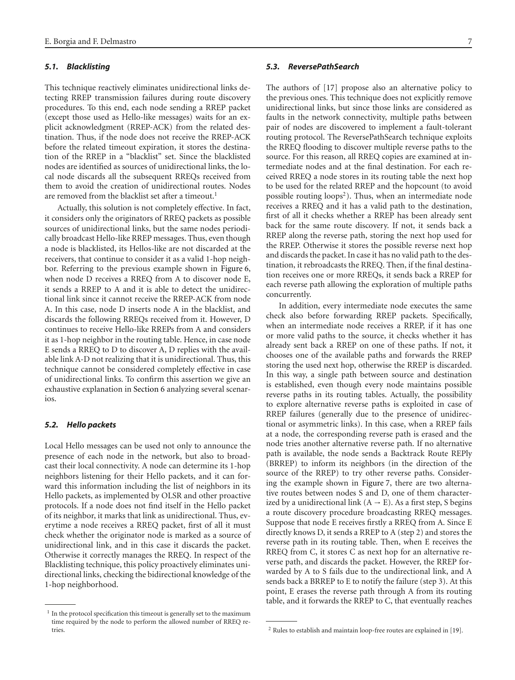#### *5.1. Blacklisting*

This technique reactively eliminates unidirectional links detecting RREP transmission failures during route discovery procedures. To this end, each node sending a RREP packet (except those used as Hello-like messages) waits for an explicit acknowledgment (RREP-ACK) from the related destination. Thus, if the node does not receive the RREP-ACK before the related timeout expiration, it stores the destination of the RREP in a "blacklist" set. Since the blacklisted nodes are identified as sources of unidirectional links, the local node discards all the subsequent RREQs received from them to avoid the creation of unidirectional routes. Nodes are removed from the blacklist set after a timeout.<sup>1</sup>

Actually, this solution is not completely effective. In fact, it considers only the originators of RREQ packets as possible sources of unidirectional links, but the same nodes periodically broadcast Hello-like RREP messages. Thus, even though a node is blacklisted, its Hellos-like are not discarded at the receivers, that continue to consider it as a valid 1-hop neighbor. Referring to the previous example shown in Figure 6, when node D receives a RREQ from A to discover node E, it sends a RREP to A and it is able to detect the unidirectional link since it cannot receive the RREP-ACK from node A. In this case, node D inserts node A in the blacklist, and discards the following RREQs received from it. However, D continues to receive Hello-like RREPs from A and considers it as 1-hop neighbor in the routing table. Hence, in case node E sends a RREQ to D to discover A, D replies with the available link A-D not realizing that it is unidirectional. Thus, this technique cannot be considered completely effective in case of unidirectional links. To confirm this assertion we give an exhaustive explanation in Section 6 analyzing several scenarios.

#### *5.2. Hello packets*

Local Hello messages can be used not only to announce the presence of each node in the network, but also to broadcast their local connectivity. A node can determine its 1-hop neighbors listening for their Hello packets, and it can forward this information including the list of neighbors in its Hello packets, as implemented by OLSR and other proactive protocols. If a node does not find itself in the Hello packet of its neighbor, it marks that link as unidirectional. Thus, everytime a node receives a RREQ packet, first of all it must check whether the originator node is marked as a source of unidirectional link, and in this case it discards the packet. Otherwise it correctly manages the RREQ. In respect of the Blacklisting technique, this policy proactively eliminates unidirectional links, checking the bidirectional knowledge of the 1-hop neighborhood.

## *5.3. ReversePathSearch*

The authors of [17] propose also an alternative policy to the previous ones. This technique does not explicitly remove unidirectional links, but since those links are considered as faults in the network connectivity, multiple paths between pair of nodes are discovered to implement a fault-tolerant routing protocol. The ReversePathSearch technique exploits the RREQ flooding to discover multiple reverse paths to the source. For this reason, all RREQ copies are examined at intermediate nodes and at the final destination. For each received RREQ a node stores in its routing table the next hop to be used for the related RREP and the hopcount (to avoid possible routing loops<sup>2</sup>). Thus, when an intermediate node receives a RREQ and it has a valid path to the destination, first of all it checks whether a RREP has been already sent back for the same route discovery. If not, it sends back a RREP along the reverse path, storing the next hop used for the RREP. Otherwise it stores the possible reverse next hop and discards the packet. In case it has no valid path to the destination, it rebroadcasts the RREQ. Then, if the final destination receives one or more RREQs, it sends back a RREP for each reverse path allowing the exploration of multiple paths concurrently.

In addition, every intermediate node executes the same check also before forwarding RREP packets. Specifically, when an intermediate node receives a RREP, if it has one or more valid paths to the source, it checks whether it has already sent back a RREP on one of these paths. If not, it chooses one of the available paths and forwards the RREP storing the used next hop, otherwise the RREP is discarded. In this way, a single path between source and destination is established, even though every node maintains possible reverse paths in its routing tables. Actually, the possibility to explore alternative reverse paths is exploited in case of RREP failures (generally due to the presence of unidirectional or asymmetric links). In this case, when a RREP fails at a node, the corresponding reverse path is erased and the node tries another alternative reverse path. If no alternative path is available, the node sends a Backtrack Route REPly (BRREP) to inform its neighbors (in the direction of the source of the RREP) to try other reverse paths. Considering the example shown in Figure 7, there are two alternative routes between nodes S and D, one of them characterized by a unidirectional link  $(A \rightarrow E)$ . As a first step, S begins a route discovery procedure broadcasting RREQ messages. Suppose that node E receives firstly a RREQ from A. Since E directly knows D, it sends a RREP to A (step 2) and stores the reverse path in its routing table. Then, when E receives the RREQ from C, it stores C as next hop for an alternative reverse path, and discards the packet. However, the RREP forwarded by A to S fails due to the undirectional link, and A sends back a BRREP to E to notify the failure (step 3). At this point, E erases the reverse path through A from its routing table, and it forwards the RREP to C, that eventually reaches

<sup>&</sup>lt;sup>1</sup> In the protocol specification this timeout is generally set to the maximum time required by the node to perform the allowed number of RREQ retries.

<sup>2</sup> Rules to establish and maintain loop-free routes are explained in [19].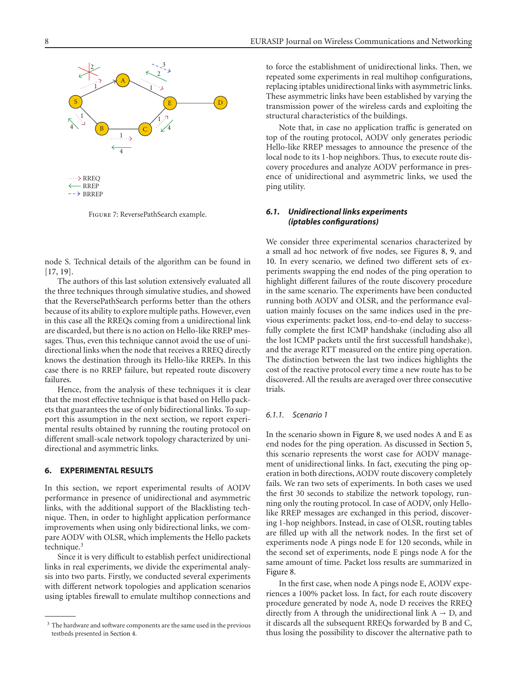

Figure 7: ReversePathSearch example.

node S. Technical details of the algorithm can be found in [17, 19].

The authors of this last solution extensively evaluated all the three techniques through simulative studies, and showed that the ReversePathSearch performs better than the others because of its ability to explore multiple paths. However, even in this case all the RREQs coming from a unidirectional link are discarded, but there is no action on Hello-like RREP messages. Thus, even this technique cannot avoid the use of unidirectional links when the node that receives a RREQ directly knows the destination through its Hello-like RREPs. In this case there is no RREP failure, but repeated route discovery failures.

Hence, from the analysis of these techniques it is clear that the most effective technique is that based on Hello packets that guarantees the use of only bidirectional links. To support this assumption in the next section, we report experimental results obtained by running the routing protocol on different small-scale network topology characterized by unidirectional and asymmetric links.

## **6. EXPERIMENTAL RESULTS**

In this section, we report experimental results of AODV performance in presence of unidirectional and asymmetric links, with the additional support of the Blacklisting technique. Then, in order to highlight application performance improvements when using only bidirectional links, we compare AODV with OLSR, which implements the Hello packets technique.<sup>3</sup>

Since it is very difficult to establish perfect unidirectional links in real experiments, we divide the experimental analysis into two parts. Firstly, we conducted several experiments with different network topologies and application scenarios using iptables firewall to emulate multihop connections and

to force the establishment of unidirectional links. Then, we repeated some experiments in real multihop configurations, replacing iptables unidirectional links with asymmetric links. These asymmetric links have been established by varying the transmission power of the wireless cards and exploiting the structural characteristics of the buildings.

Note that, in case no application traffic is generated on top of the routing protocol, AODV only generates periodic Hello-like RREP messages to announce the presence of the local node to its 1-hop neighbors. Thus, to execute route discovery procedures and analyze AODV performance in presence of unidirectional and asymmetric links, we used the ping utility.

## *6.1. Unidirectional links experiments (iptables configurations)*

We consider three experimental scenarios characterized by a small ad hoc network of five nodes, see Figures 8, 9, and 10. In every scenario, we defined two different sets of experiments swapping the end nodes of the ping operation to highlight different failures of the route discovery procedure in the same scenario. The experiments have been conducted running both AODV and OLSR, and the performance evaluation mainly focuses on the same indices used in the previous experiments: packet loss, end-to-end delay to successfully complete the first ICMP handshake (including also all the lost ICMP packets until the first successfull handshake), and the average RTT measured on the entire ping operation. The distinction between the last two indices highlights the cost of the reactive protocol every time a new route has to be discovered. All the results are averaged over three consecutive trials.

#### *6.1.1. Scenario 1*

In the scenario shown in Figure 8, we used nodes A and E as end nodes for the ping operation. As discussed in Section 5, this scenario represents the worst case for AODV management of unidirectional links. In fact, executing the ping operation in both directions, AODV route discovery completely fails. We ran two sets of experiments. In both cases we used the first 30 seconds to stabilize the network topology, running only the routing protocol. In case of AODV, only Hellolike RREP messages are exchanged in this period, discovering 1-hop neighbors. Instead, in case of OLSR, routing tables are filled up with all the network nodes. In the first set of experiments node A pings node E for 120 seconds, while in the second set of experiments, node E pings node A for the same amount of time. Packet loss results are summarized in Figure 8.

In the first case, when node A pings node E, AODV experiences a 100% packet loss. In fact, for each route discovery procedure generated by node A, node D receives the RREQ directly from A through the unidirectional link  $A \rightarrow D$ , and it discards all the subsequent RREQs forwarded by B and C, thus losing the possibility to discover the alternative path to

<sup>&</sup>lt;sup>3</sup> The hardware and software components are the same used in the previous testbeds presented in Section 4.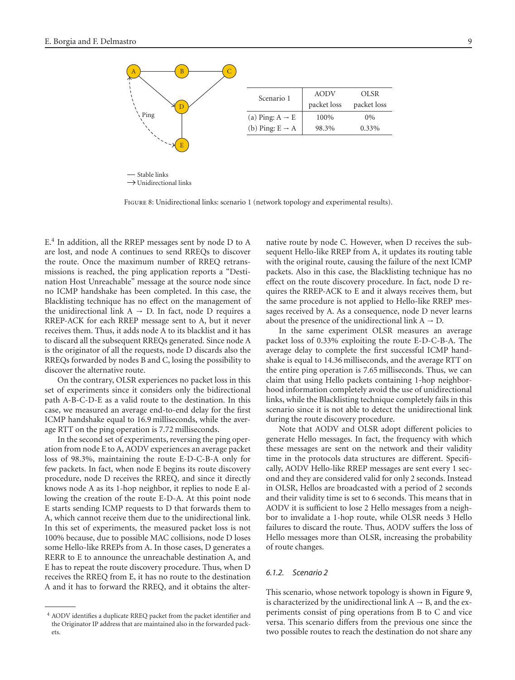

- Stable links  $\rightarrow$  Unidirectional links

Figure 8: Unidirectional links: scenario 1 (network topology and experimental results).

E.<sup>4</sup> In addition, all the RREP messages sent by node D to A are lost, and node A continues to send RREQs to discover the route. Once the maximum number of RREQ retransmissions is reached, the ping application reports a "Destination Host Unreachable" message at the source node since no ICMP handshake has been completed. In this case, the Blacklisting technique has no effect on the management of the unidirectional link  $A \rightarrow D$ . In fact, node D requires a RREP-ACK for each RREP message sent to A, but it never receives them. Thus, it adds node A to its blacklist and it has to discard all the subsequent RREQs generated. Since node A is the originator of all the requests, node D discards also the RREQs forwarded by nodes B and C, losing the possibility to discover the alternative route.

On the contrary, OLSR experiences no packet loss in this set of experiments since it considers only the bidirectional path A-B-C-D-E as a valid route to the destination. In this case, we measured an average end-to-end delay for the first ICMP handshake equal to 16.9 milliseconds, while the average RTT on the ping operation is 7.72 milliseconds.

In the second set of experiments, reversing the ping operation from node E to A, AODV experiences an average packet loss of 98.3%, maintaining the route E-D-C-B-A only for few packets. In fact, when node E begins its route discovery procedure, node D receives the RREQ, and since it directly knows node A as its 1-hop neighbor, it replies to node E allowing the creation of the route E-D-A. At this point node E starts sending ICMP requests to D that forwards them to A, which cannot receive them due to the unidirectional link. In this set of experiments, the measured packet loss is not 100% because, due to possible MAC collisions, node D loses some Hello-like RREPs from A. In those cases, D generates a RERR to E to announce the unreachable destination A, and E has to repeat the route discovery procedure. Thus, when D receives the RREQ from E, it has no route to the destination A and it has to forward the RREQ, and it obtains the alternative route by node C. However, when D receives the subsequent Hello-like RREP from A, it updates its routing table with the original route, causing the failure of the next ICMP packets. Also in this case, the Blacklisting technique has no effect on the route discovery procedure. In fact, node D requires the RREP-ACK to E and it always receives them, but the same procedure is not applied to Hello-like RREP messages received by A. As a consequence, node D never learns about the presence of the unidirectional link  $A \rightarrow D$ .

In the same experiment OLSR measures an average packet loss of 0.33% exploiting the route E-D-C-B-A. The average delay to complete the first successful ICMP handshake is equal to 14.36 milliseconds, and the average RTT on the entire ping operation is 7.65 milliseconds. Thus, we can claim that using Hello packets containing 1-hop neighborhood information completely avoid the use of unidirectional links, while the Blacklisting technique completely fails in this scenario since it is not able to detect the unidirectional link during the route discovery procedure.

Note that AODV and OLSR adopt different policies to generate Hello messages. In fact, the frequency with which these messages are sent on the network and their validity time in the protocols data structures are different. Specifically, AODV Hello-like RREP messages are sent every 1 second and they are considered valid for only 2 seconds. Instead in OLSR, Hellos are broadcasted with a period of 2 seconds and their validity time is set to 6 seconds. This means that in AODV it is sufficient to lose 2 Hello messages from a neighbor to invalidate a 1-hop route, while OLSR needs 3 Hello failures to discard the route. Thus, AODV suffers the loss of Hello messages more than OLSR, increasing the probability of route changes.

#### *6.1.2. Scenario 2*

This scenario, whose network topology is shown in Figure 9, is characterized by the unidirectional link  $A \rightarrow B$ , and the experiments consist of ping operations from B to C and vice versa. This scenario differs from the previous one since the two possible routes to reach the destination do not share any

<sup>4</sup> AODV identifies a duplicate RREQ packet from the packet identifier and the Originator IP address that are maintained also in the forwarded packets.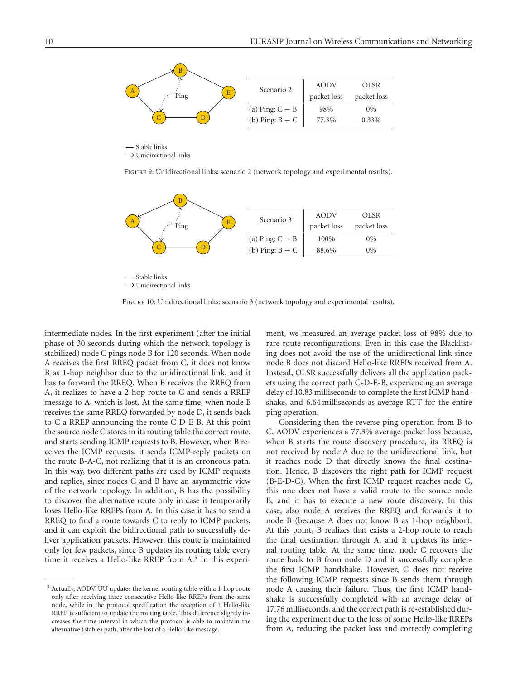

- Stable links  $\rightarrow$  Unidirectional links

Figure 9: Unidirectional links: scenario 2 (network topology and experimental results).



- Stable links  $\rightarrow$  Unidirectional links

Figure 10: Unidirectional links: scenario 3 (network topology and experimental results).

intermediate nodes. In the first experiment (after the initial phase of 30 seconds during which the network topology is stabilized) node C pings node B for 120 seconds. When node A receives the first RREQ packet from C, it does not know B as 1-hop neighbor due to the unidirectional link, and it has to forward the RREQ. When B receives the RREQ from A, it realizes to have a 2-hop route to C and sends a RREP message to A, which is lost. At the same time, when node E receives the same RREQ forwarded by node D, it sends back to C a RREP announcing the route C-D-E-B. At this point the source node C stores in its routing table the correct route, and starts sending ICMP requests to B. However, when B receives the ICMP requests, it sends ICMP-reply packets on the route B-A-C, not realizing that it is an erroneous path. In this way, two different paths are used by ICMP requests and replies, since nodes C and B have an asymmetric view of the network topology. In addition, B has the possibility to discover the alternative route only in case it temporarily loses Hello-like RREPs from A. In this case it has to send a RREQ to find a route towards C to reply to ICMP packets, and it can exploit the bidirectional path to successfully deliver application packets. However, this route is maintained only for few packets, since B updates its routing table every time it receives a Hello-like RREP from  $A$ <sup>5</sup>. In this experiment, we measured an average packet loss of 98% due to rare route reconfigurations. Even in this case the Blacklisting does not avoid the use of the unidirectional link since node B does not discard Hello-like RREPs received from A. Instead, OLSR successfully delivers all the application packets using the correct path C-D-E-B, experiencing an average delay of 10.83 milliseconds to complete the first ICMP handshake, and 6.64 milliseconds as average RTT for the entire ping operation.

Considering then the reverse ping operation from B to C, AODV experiences a 77.3% average packet loss because, when B starts the route discovery procedure, its RREQ is not received by node A due to the unidirectional link, but it reaches node D that directly knows the final destination. Hence, B discovers the right path for ICMP request (B-E-D-C). When the first ICMP request reaches node C, this one does not have a valid route to the source node B, and it has to execute a new route discovery. In this case, also node A receives the RREQ and forwards it to node B (because A does not know B as 1-hop neighbor). At this point, B realizes that exists a 2-hop route to reach the final destination through A, and it updates its internal routing table. At the same time, node C recovers the route back to B from node D and it successfully complete the first ICMP handshake. However, C does not receive the following ICMP requests since B sends them through node A causing their failure. Thus, the first ICMP handshake is successfully completed with an average delay of 17.76 milliseconds, and the correct path is re-established during the experiment due to the loss of some Hello-like RREPs from A, reducing the packet loss and correctly completing

<sup>5</sup> Actually, AODV-UU updates the kernel routing table with a 1-hop route only after receiving three consecutive Hello-like RREPs from the same node, while in the protocol specification the reception of 1 Hello-like RREP is sufficient to update the routing table. This difference slightly increases the time interval in which the protocol is able to maintain the alternative (stable) path, after the lost of a Hello-like message.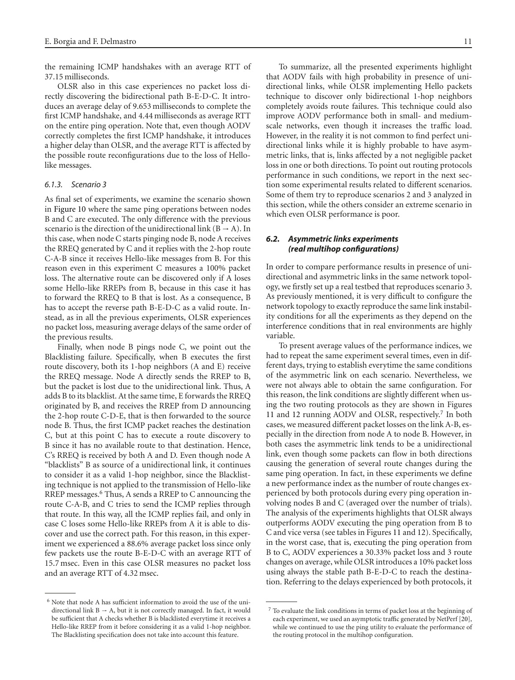the remaining ICMP handshakes with an average RTT of 37.15 milliseconds.

OLSR also in this case experiences no packet loss directly discovering the bidirectional path B-E-D-C. It introduces an average delay of 9.653 milliseconds to complete the first ICMP handshake, and 4.44 milliseconds as average RTT on the entire ping operation. Note that, even though AODV correctly completes the first ICMP handshake, it introduces a higher delay than OLSR, and the average RTT is affected by the possible route reconfigurations due to the loss of Hellolike messages.

#### *6.1.3. Scenario 3*

As final set of experiments, we examine the scenario shown in Figure 10 where the same ping operations between nodes B and C are executed. The only difference with the previous scenario is the direction of the unidirectional link ( $B \rightarrow A$ ). In this case, when node C starts pinging node B, node A receives the RREQ generated by C and it replies with the 2-hop route C-A-B since it receives Hello-like messages from B. For this reason even in this experiment C measures a 100% packet loss. The alternative route can be discovered only if A loses some Hello-like RREPs from B, because in this case it has to forward the RREQ to B that is lost. As a consequence, B has to accept the reverse path B-E-D-C as a valid route. Instead, as in all the previous experiments, OLSR experiences no packet loss, measuring average delays of the same order of the previous results.

Finally, when node B pings node C, we point out the Blacklisting failure. Specifically, when B executes the first route discovery, both its 1-hop neighbors (A and E) receive the RREQ message. Node A directly sends the RREP to B, but the packet is lost due to the unidirectional link. Thus, A adds B to its blacklist. At the same time, E forwards the RREQ originated by B, and receives the RREP from D announcing the 2-hop route C-D-E, that is then forwarded to the source node B. Thus, the first ICMP packet reaches the destination C, but at this point C has to execute a route discovery to B since it has no available route to that destination. Hence, C's RREQ is received by both A and D. Even though node A "blacklists" B as source of a unidirectional link, it continues to consider it as a valid 1-hop neighbor, since the Blacklisting technique is not applied to the transmission of Hello-like RREP messages.<sup>6</sup> Thus, A sends a RREP to C announcing the route C-A-B, and C tries to send the ICMP replies through that route. In this way, all the ICMP replies fail, and only in case C loses some Hello-like RREPs from A it is able to discover and use the correct path. For this reason, in this experiment we experienced a 88.6% average packet loss since only few packets use the route B-E-D-C with an average RTT of 15.7 msec. Even in this case OLSR measures no packet loss and an average RTT of 4.32 msec.

To summarize, all the presented experiments highlight that AODV fails with high probability in presence of unidirectional links, while OLSR implementing Hello packets technique to discover only bidirectional 1-hop neighbors completely avoids route failures. This technique could also improve AODV performance both in small- and mediumscale networks, even though it increases the traffic load. However, in the reality it is not common to find perfect unidirectional links while it is highly probable to have asymmetric links, that is, links affected by a not negligible packet loss in one or both directions. To point out routing protocols performance in such conditions, we report in the next section some experimental results related to different scenarios. Some of them try to reproduce scenarios 2 and 3 analyzed in this section, while the others consider an extreme scenario in which even OLSR performance is poor.

## *6.2. Asymmetric links experiments (real multihop configurations)*

In order to compare performance results in presence of unidirectional and asymmetric links in the same network topology, we firstly set up a real testbed that reproduces scenario 3. As previously mentioned, it is very difficult to configure the network topology to exactly reproduce the same link instability conditions for all the experiments as they depend on the interference conditions that in real environments are highly variable.

To present average values of the performance indices, we had to repeat the same experiment several times, even in different days, trying to establish everytime the same conditions of the asymmetric link on each scenario. Nevertheless, we were not always able to obtain the same configuration. For this reason, the link conditions are slightly different when using the two routing protocols as they are shown in Figures 11 and 12 running AODV and OLSR, respectively.7 In both cases, we measured different packet losses on the link A-B, especially in the direction from node A to node B. However, in both cases the asymmetric link tends to be a unidirectional link, even though some packets can flow in both directions causing the generation of several route changes during the same ping operation. In fact, in these experiments we define a new performance index as the number of route changes experienced by both protocols during every ping operation involving nodes B and C (averaged over the number of trials). The analysis of the experiments highlights that OLSR always outperforms AODV executing the ping operation from B to C and vice versa (see tables in Figures 11 and 12). Specifically, in the worst case, that is, executing the ping operation from B to C, AODV experiences a 30.33% packet loss and 3 route changes on average, while OLSR introduces a 10% packet loss using always the stable path B-E-D-C to reach the destination. Referring to the delays experienced by both protocols, it

<sup>6</sup> Note that node A has sufficient information to avoid the use of the unidirectional link  $B \rightarrow A$ , but it is not correctly managed. In fact, it would be sufficient that A checks whether B is blacklisted everytime it receives a Hello-like RREP from it before considering it as a valid 1-hop neighbor. The Blacklisting specification does not take into account this feature.

 $^7$  To evaluate the link conditions in terms of packet loss at the beginning of each experiment, we used an asymptotic traffic generated by NetPerf [20], while we continued to use the ping utility to evaluate the performance of the routing protocol in the multihop configuration.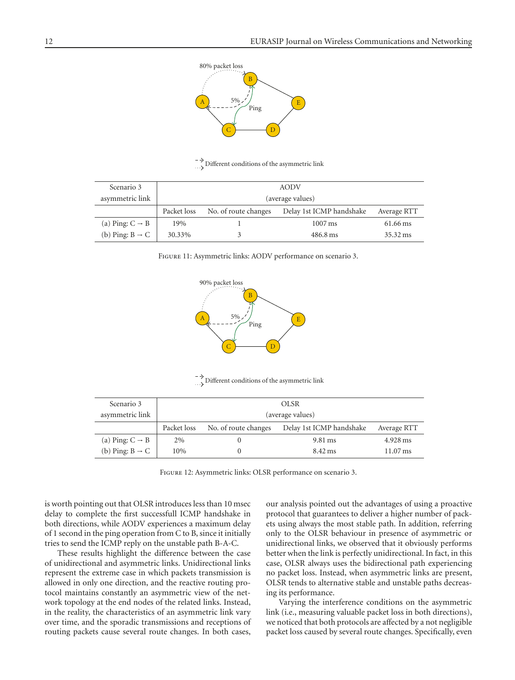

Different conditions of the asymmetric link

| Scenario 3                  | <b>AODV</b>      |                      |                          |             |
|-----------------------------|------------------|----------------------|--------------------------|-------------|
| asymmetric link             | (average values) |                      |                          |             |
|                             | Packet loss      | No. of route changes | Delay 1st ICMP handshake | Average RTT |
| (a) Ping: $C \rightarrow B$ | 19%              |                      | $1007 \,\mathrm{ms}$     | 61.66 ms    |
| (b) Ping: $B \rightarrow C$ | 30.33%           |                      | 486.8 ms                 | 35.32 ms    |

Figure 11: Asymmetric links: AODV performance on scenario 3.



Different conditions of the asymmetric link

| Scenario 3                  | <b>OLSR</b>      |                      |                          |                     |  |
|-----------------------------|------------------|----------------------|--------------------------|---------------------|--|
| asymmetric link             | (average values) |                      |                          |                     |  |
|                             | Packet loss      | No. of route changes | Delay 1st ICMP handshake | Average RTT         |  |
| (a) Ping: $C \rightarrow B$ | 2%               |                      | $9.81 \,\mathrm{ms}$     | 4.928 ms            |  |
| (b) Ping: $B \rightarrow C$ | 10%              |                      | 8.42 ms                  | $11.07 \,\text{ms}$ |  |

Figure 12: Asymmetric links: OLSR performance on scenario 3.

is worth pointing out that OLSR introduces less than 10 msec delay to complete the first successfull ICMP handshake in both directions, while AODV experiences a maximum delay of 1 second in the ping operation from C to B, since it initially tries to send the ICMP reply on the unstable path B-A-C.

These results highlight the difference between the case of unidirectional and asymmetric links. Unidirectional links represent the extreme case in which packets transmission is allowed in only one direction, and the reactive routing protocol maintains constantly an asymmetric view of the network topology at the end nodes of the related links. Instead, in the reality, the characteristics of an asymmetric link vary over time, and the sporadic transmissions and receptions of routing packets cause several route changes. In both cases,

our analysis pointed out the advantages of using a proactive protocol that guarantees to deliver a higher number of packets using always the most stable path. In addition, referring only to the OLSR behaviour in presence of asymmetric or unidirectional links, we observed that it obviously performs better when the link is perfectly unidirectional. In fact, in this case, OLSR always uses the bidirectional path experiencing no packet loss. Instead, when asymmetric links are present, OLSR tends to alternative stable and unstable paths decreasing its performance.

Varying the interference conditions on the asymmetric link (i.e., measuring valuable packet loss in both directions), we noticed that both protocols are affected by a not negligible packet loss caused by several route changes. Specifically, even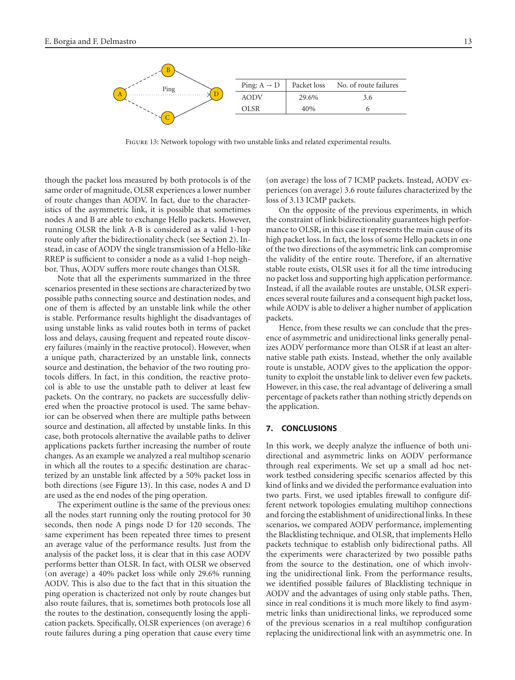

Figure 13: Network topology with two unstable links and related experimental results.

though the packet loss measured by both protocols is of the same order of magnitude, OLSR experiences a lower number of route changes than AODV. In fact, due to the characteristics of the asymmetric link, it is possible that sometimes nodes A and B are able to exchange Hello packets. However, running OLSR the link A-B is considered as a valid 1-hop route only after the bidirectionality check (see Section 2). Instead, in case of AODV the single transmission of a Hello-like RREP is sufficient to consider a node as a valid 1-hop neighbor. Thus, AODV suffers more route changes than OLSR.

Note that all the experiments summarized in the three scenarios presented in these sections are characterized by two possible paths connecting source and destination nodes, and one of them is affected by an unstable link while the other is stable. Performance results highlight the disadvantages of using unstable links as valid routes both in terms of packet loss and delays, causing frequent and repeated route discovery failures (mainly in the reactive protocol). However, when a unique path, characterized by an unstable link, connects source and destination, the behavior of the two routing protocols differs. In fact, in this condition, the reactive protocol is able to use the unstable path to deliver at least few packets. On the contrary, no packets are successfully delivered when the proactive protocol is used. The same behavior can be observed when there are multiple paths between source and destination, all affected by unstable links. In this case, both protocols alternative the available paths to deliver applications packets further increasing the number of route changes. As an example we analyzed a real multihop scenario in which all the routes to a specific destination are characterized by an unstable link affected by a 50% packet loss in both directions (see Figure 13). In this case, nodes A and D are used as the end nodes of the ping operation.

The experiment outline is the same of the previous ones: all the nodes start running only the routing protocol for 30 seconds, then node A pings node D for 120 seconds. The same experiment has been repeated three times to present an average value of the performance results. Just from the analysis of the packet loss, it is clear that in this case AODV performs better than OLSR. In fact, with OLSR we observed (on average) a 40% packet loss while only 29.6% running AODV. This is also due to the fact that in this situation the ping operation is chacterized not only by route changes but also route failures, that is, sometimes both protocols lose all the routes to the destination, consequently losing the application packets. Specifically, OLSR experiences (on average) 6 route failures during a ping operation that cause every time

(on average) the loss of 7 ICMP packets. Instead, AODV experiences (on average) 3.6 route failures characterized by the loss of 3.13 ICMP packets.

On the opposite of the previous experiments, in which the constraint of link bidirectionality guarantees high performance to OLSR, in this case it represents the main cause of its high packet loss. In fact, the loss of some Hello packets in one of the two directions of the asymmetric link can compromise the validity of the entire route. Therefore, if an alternative stable route exists, OLSR uses it for all the time introducing no packet loss and supporting high application performance. Instead, if all the available routes are unstable, OLSR experiences several route failures and a consequent high packet loss, while AODV is able to deliver a higher number of application packets.

Hence, from these results we can conclude that the presence of asymmetric and unidirectional links generally penalizes AODV performance more than OLSR if at least an alternative stable path exists. Instead, whether the only available route is unstable, AODV gives to the application the opportunity to exploit the unstable link to deliver even few packets. However, in this case, the real advantage of delivering a small percentage of packets rather than nothing strictly depends on the application.

## **7. CONCLUSIONS**

In this work, we deeply analyze the influence of both unidirectional and asymmetric links on AODV performance through real experiments. We set up a small ad hoc network testbed considering specific scenarios affected by this kind of links and we divided the performance evaluation into two parts. First, we used iptables firewall to configure different network topologies emulating multihop connections and forcing the establishment of unidirectional links. In these scenarios, we compared AODV performance, implementing the Blacklisting technique, and OLSR, that implements Hello packets technique to establish only bidirectional paths. All the experiments were characterized by two possible paths from the source to the destination, one of which involving the unidirectional link. From the performance results, we identified possible failures of Blacklisting technique in AODV and the advantages of using only stable paths. Then, since in real conditions it is much more likely to find asymmetric links than unidirectional links, we reproduced some of the previous scenarios in a real multihop configuration replacing the unidirectional link with an asymmetric one. In